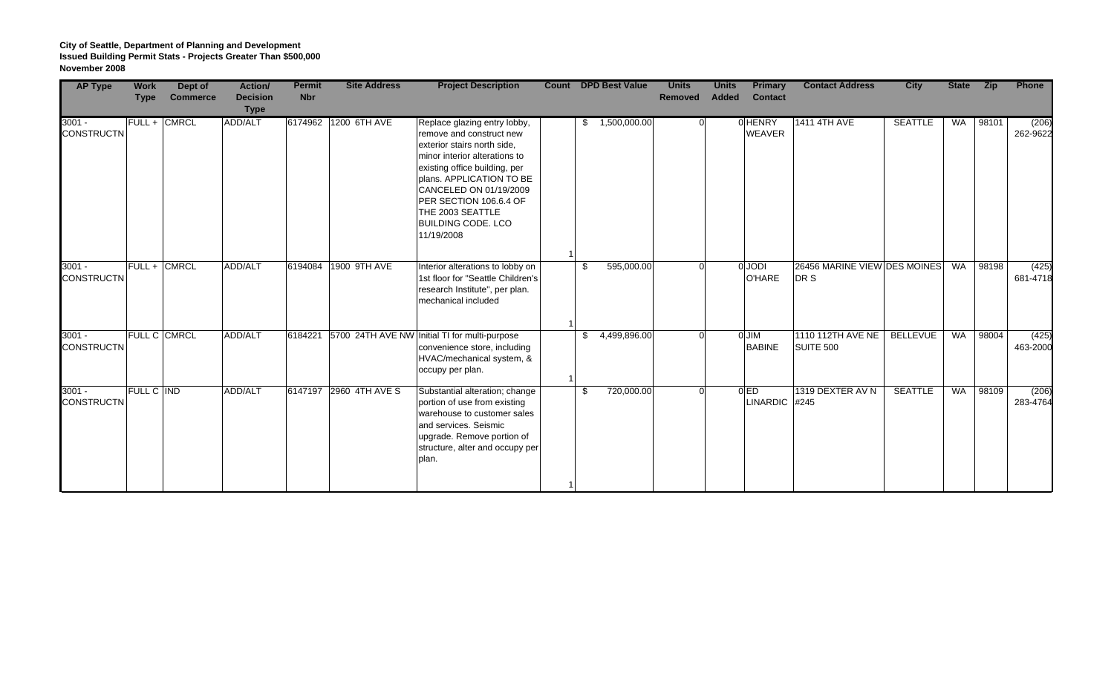## **City of Seattle, Department of Planning and Development Issued Building Permit Stats - Projects Greater Than \$500,000 November 2008**

| <b>AP Type</b>                | <b>Work</b> | Dept of             | Action/                        | <b>Permit</b> | <b>Site Address</b>  | <b>Project Description</b>                                                                                                                                                                                                                                                                               |    | <b>Count DPD Best Value</b> | <b>Units</b>   | <b>Units</b> | <b>Primary</b>                   | <b>Contact Address</b>               | <b>City</b>     | <b>State</b> | Zip   | Phone             |
|-------------------------------|-------------|---------------------|--------------------------------|---------------|----------------------|----------------------------------------------------------------------------------------------------------------------------------------------------------------------------------------------------------------------------------------------------------------------------------------------------------|----|-----------------------------|----------------|--------------|----------------------------------|--------------------------------------|-----------------|--------------|-------|-------------------|
|                               | <b>Type</b> | <b>Commerce</b>     | <b>Decision</b><br><b>Type</b> | <b>Nbr</b>    |                      |                                                                                                                                                                                                                                                                                                          |    |                             | <b>Removed</b> | <b>Added</b> | <b>Contact</b>                   |                                      |                 |              |       |                   |
| $3001 -$<br><b>CONSTRUCTN</b> |             | FULL + CMRCL        | <b>ADD/ALT</b>                 |               | 6174962 1200 6TH AVE | Replace glazing entry lobby,<br>remove and construct new<br>exterior stairs north side.<br>minor interior alterations to<br>existing office building, per<br>plans. APPLICATION TO BE<br>CANCELED ON 01/19/2009<br>PER SECTION 106.6.4 OF<br>THE 2003 SEATTLE<br><b>BUILDING CODE. LCO</b><br>11/19/2008 | S. | 1,500,000.00                |                |              | <b>OHENRY</b><br><b>WEAVER</b>   | 1411 4TH AVE                         | <b>SEATTLE</b>  | WA           | 98101 | (206)<br>262-9622 |
| $3001 -$<br><b>CONSTRUCTN</b> |             | FULL + CMRCL        | ADD/ALT                        | 6194084       | 1900 9TH AVE         | Interior alterations to lobby on<br>1st floor for "Seattle Children's<br>research Institute", per plan.<br>mechanical included                                                                                                                                                                           | \$ | 595,000.00                  |                |              | 0 JODI<br>O'HARE                 | 26456 MARINE VIEW DES MOINES<br>DR S |                 | WA           | 98198 | (425)<br>681-4718 |
| $3001 -$<br><b>CONSTRUCTN</b> |             | <b>FULL C CMRCL</b> | ADD/ALT                        | 6184221       |                      | 5700 24TH AVE NW Initial TI for multi-purpose<br>convenience store, including<br>HVAC/mechanical system, &<br>occupy per plan.                                                                                                                                                                           | \$ | 4,499,896.00                |                |              | 0 JIM<br><b>BABINE</b>           | 1110 112TH AVE NE<br>SUITE 500       | <b>BELLEVUE</b> | WA           | 98004 | (425)<br>463-2000 |
| $3001 -$<br><b>CONSTRUCTN</b> | FULL C IND  |                     | ADD/ALT                        | 6147197       | 2960 4TH AVE S       | Substantial alteration; change<br>portion of use from existing<br>warehouse to customer sales<br>and services. Seismic<br>upgrade. Remove portion of<br>structure, alter and occupy per<br>plan.                                                                                                         | \$ | 720,000.00                  |                |              | 0 <sub>ED</sub><br>LINARDIC #245 | 1319 DEXTER AV N                     | <b>SEATTLE</b>  | WA           | 98109 | (206)<br>283-4764 |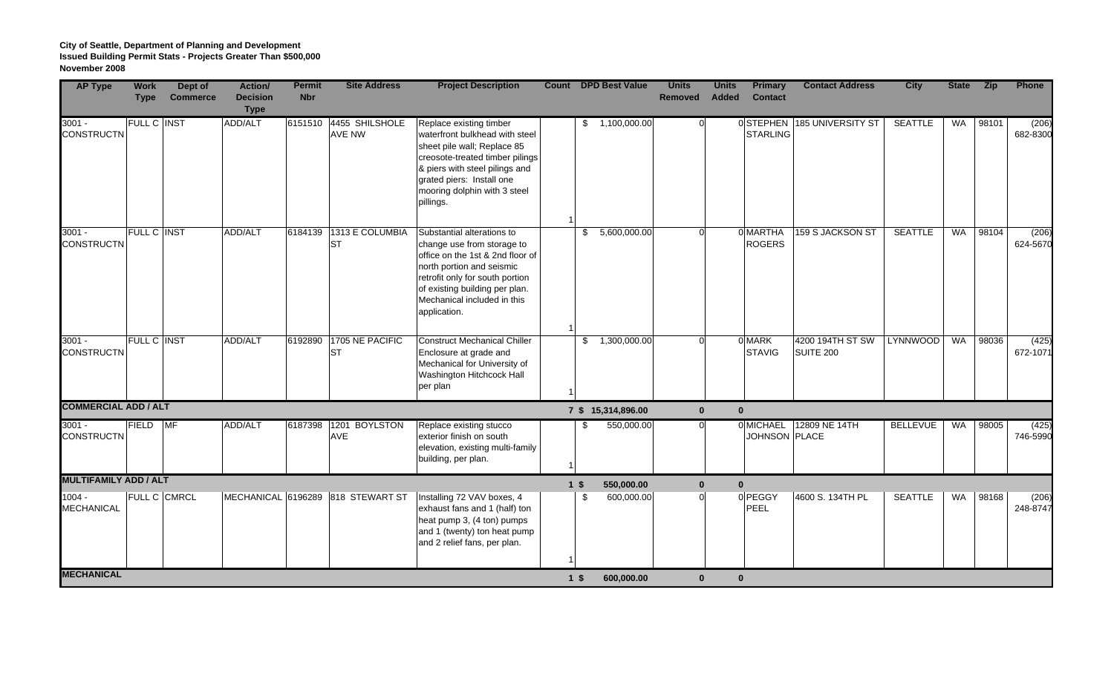## **City of Seattle, Department of Planning and Development Issued Building Permit Stats - Projects Greater Than \$500,000 November 2008**

| <b>AP Type</b>                | <b>Work</b>        | Dept of         | <b>Action/</b>                 | <b>Permit</b> | <b>Site Address</b>          | <b>Project Description</b>                                                                                                                                                                                                                    |                |              | <b>Count</b> DPD Best Value | <b>Units</b>   | <b>Units</b> | <b>Primary</b>            | <b>Contact Address</b>        | <b>City</b>     | <b>State</b> | Zip   | Phone             |
|-------------------------------|--------------------|-----------------|--------------------------------|---------------|------------------------------|-----------------------------------------------------------------------------------------------------------------------------------------------------------------------------------------------------------------------------------------------|----------------|--------------|-----------------------------|----------------|--------------|---------------------------|-------------------------------|-----------------|--------------|-------|-------------------|
|                               | <b>Type</b>        | <b>Commerce</b> | <b>Decision</b><br><b>Type</b> | <b>Nbr</b>    |                              |                                                                                                                                                                                                                                               |                |              |                             | <b>Removed</b> | <b>Added</b> | <b>Contact</b>            |                               |                 |              |       |                   |
| $3001 -$<br><b>CONSTRUCTN</b> | <b>FULL C INST</b> |                 | ADD/ALT                        | 6151510       | 4455 SHILSHOLE<br>AVE NW     | Replace existing timber<br>waterfront bulkhead with steel<br>sheet pile wall; Replace 85<br>creosote-treated timber pilings<br>& piers with steel pilings and<br>grated piers: Install one<br>mooring dolphin with 3 steel<br>pillings.       |                |              | \$1,100,000.00              | $\Omega$       |              | <b>STARLING</b>           | 0STEPHEN 185 UNIVERSITY ST    | <b>SEATTLE</b>  | WA           | 98101 | (206)<br>682-8300 |
| $3001 -$<br><b>CONSTRUCTN</b> | <b>FULL C INST</b> |                 | ADD/ALT                        | 6184139       | 1313 E COLUMBIA<br><b>ST</b> | Substantial alterations to<br>change use from storage to<br>office on the 1st & 2nd floor of<br>north portion and seismic<br>retrofit only for south portion<br>of existing building per plan.<br>Mechanical included in this<br>application. |                | \$           | 5,600,000.00                | n              |              | 0 MARTHA<br><b>ROGERS</b> | 159 S JACKSON ST              | <b>SEATTLE</b>  | <b>WA</b>    | 98104 | (206)<br>624-5670 |
| $3001 -$<br><b>CONSTRUCTN</b> | <b>FULL C INST</b> |                 | <b>ADD/ALT</b>                 | 6192890       | 1705 NE PACIFIC<br><b>ST</b> | <b>Construct Mechanical Chiller</b><br>Enclosure at grade and<br>Mechanical for University of<br>Washington Hitchcock Hall<br>per plan                                                                                                        |                | $\mathbb{S}$ | 1,300,000.00                | $\Omega$       |              | 0 MARK<br><b>STAVIG</b>   | 4200 194TH ST SW<br>SUITE 200 | LYNNWOOD        | <b>WA</b>    | 98036 | (425)<br>672-1071 |
| <b>COMMERCIAL ADD / ALT</b>   |                    |                 |                                |               |                              |                                                                                                                                                                                                                                               |                |              | 7 \$ 15,314,896.00          | $\mathbf{0}$   | $\mathbf{0}$ |                           |                               |                 |              |       |                   |
| $3001 -$<br><b>CONSTRUCTN</b> | <b>FIELD</b>       | $M_F$           | <b>ADD/ALT</b>                 | 6187398       | 1201 BOYLSTON<br><b>AVE</b>  | Replace existing stucco<br>exterior finish on south<br>elevation, existing multi-family<br>building, per plan.                                                                                                                                |                | \$.          | 550,000.00                  | $\Omega$       |              | JOHNSON PLACE             | 0 MICHAEL 12809 NE 14TH       | <b>BELLEVUE</b> | WA           | 98005 | (425)<br>746-5990 |
| <b>MULTIFAMILY ADD / ALT</b>  |                    |                 |                                |               |                              |                                                                                                                                                                                                                                               | 1 <sup>5</sup> |              | 550,000.00                  | $\bf{0}$       | $\mathbf{0}$ |                           |                               |                 |              |       |                   |
| $1004 -$<br><b>MECHANICAL</b> | FULL C CMRCL       |                 | MECHANICAL 6196289             |               | 818 STEWART ST               | Installing 72 VAV boxes, 4<br>exhaust fans and 1 (half) ton<br>heat pump 3, (4 ton) pumps<br>and 1 (twenty) ton heat pump<br>and 2 relief fans, per plan.                                                                                     |                | \$           | 600,000.00                  | $\Omega$       |              | 0 PEGGY<br>PEEL           | 4600 S. 134TH PL              | <b>SEATTLE</b>  | <b>WA</b>    | 98168 | (206)<br>248-8747 |
| <b>MECHANICAL</b>             |                    |                 |                                |               |                              |                                                                                                                                                                                                                                               | 1 <sup>5</sup> |              | 600,000.00                  | $\mathbf{0}$   | $\mathbf{0}$ |                           |                               |                 |              |       |                   |